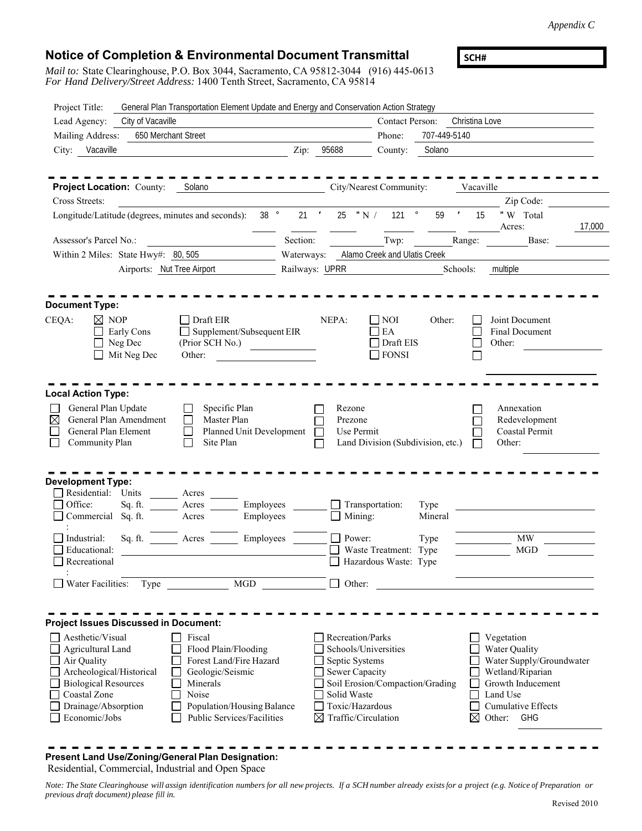*Appendix C*

## **Notice of Completion & Environmental Document Transmittal**

*Mail to:* State Clearinghouse, P.O. Box 3044, Sacramento, CA 95812-3044 (916) 445-0613 *For Hand Delivery/Street Address:* 1400 Tenth Street, Sacramento, CA 95814

**SCH#** 

| Project Title:                                                                                                                                                          | General Plan Transportation Element Update and Energy and Conservation Action Strategy                                                                         |                                                                                                                                                                                                                                      |                                                                     |                                                                                                   |                 |                     |                                                                                                                                                                   |
|-------------------------------------------------------------------------------------------------------------------------------------------------------------------------|----------------------------------------------------------------------------------------------------------------------------------------------------------------|--------------------------------------------------------------------------------------------------------------------------------------------------------------------------------------------------------------------------------------|---------------------------------------------------------------------|---------------------------------------------------------------------------------------------------|-----------------|---------------------|-------------------------------------------------------------------------------------------------------------------------------------------------------------------|
| City of Vacaville<br>Lead Agency:                                                                                                                                       |                                                                                                                                                                |                                                                                                                                                                                                                                      |                                                                     | <b>Contact Person:</b>                                                                            |                 | Christina Love      |                                                                                                                                                                   |
| Mailing Address:<br>650 Merchant Street                                                                                                                                 |                                                                                                                                                                |                                                                                                                                                                                                                                      |                                                                     | Phone:                                                                                            | 707-449-5140    |                     |                                                                                                                                                                   |
| Vacaville<br>City:                                                                                                                                                      |                                                                                                                                                                | Zip:                                                                                                                                                                                                                                 | 95688                                                               | County:                                                                                           | Solano          |                     |                                                                                                                                                                   |
| <b>Project Location: County:</b>                                                                                                                                        | Solano                                                                                                                                                         |                                                                                                                                                                                                                                      |                                                                     | City/Nearest Community:                                                                           |                 | Vacaville           |                                                                                                                                                                   |
| Cross Streets:                                                                                                                                                          |                                                                                                                                                                |                                                                                                                                                                                                                                      |                                                                     |                                                                                                   |                 |                     | Zip Code:                                                                                                                                                         |
| Longitude/Latitude (degrees, minutes and seconds):                                                                                                                      | $38$ $^{\circ}$                                                                                                                                                | $21$ $'$                                                                                                                                                                                                                             |                                                                     | $121$ $^{\circ}$<br>25 $"N/$                                                                      | 59              | $\mathcal{F}$<br>15 | "W Total<br>17,000<br>Acres:                                                                                                                                      |
| Assessor's Parcel No.:                                                                                                                                                  |                                                                                                                                                                | Section:                                                                                                                                                                                                                             |                                                                     | Twp:                                                                                              |                 | Range:              | Base:                                                                                                                                                             |
| Within 2 Miles: State Hwy#: 80, 505                                                                                                                                     |                                                                                                                                                                |                                                                                                                                                                                                                                      |                                                                     | Waterways: Alamo Creek and Ulatis Creek                                                           |                 |                     |                                                                                                                                                                   |
|                                                                                                                                                                         | Airports: Nut Tree Airport                                                                                                                                     | Railways: UPRR                                                                                                                                                                                                                       |                                                                     |                                                                                                   |                 | Schools:            | multiple                                                                                                                                                          |
| Document Type:                                                                                                                                                          |                                                                                                                                                                |                                                                                                                                                                                                                                      |                                                                     |                                                                                                   |                 |                     |                                                                                                                                                                   |
| CEQA:<br>$\boxtimes$ NOP<br>Early Cons<br>Neg Dec<br>Mit Neg Dec                                                                                                        | $\Box$ Draft EIR<br>Supplement/Subsequent EIR<br>(Prior SCH No.)<br>Other:                                                                                     | <u>and the state of the state of the state of the state of the state of the state of the state of the state of the state of the state of the state of the state of the state of the state of the state of the state of the state</u> | NEPA:                                                               | NOI<br>EA<br>Draft EIS<br>$\Box$ FONSI                                                            | Other:          |                     | Joint Document<br>Final Document<br>Other:                                                                                                                        |
| <b>Local Action Type:</b>                                                                                                                                               |                                                                                                                                                                |                                                                                                                                                                                                                                      |                                                                     |                                                                                                   |                 |                     |                                                                                                                                                                   |
| General Plan Update<br>General Plan Amendment<br>X<br>General Plan Element<br>Community Plan                                                                            | Specific Plan<br>Master Plan<br>Г<br>Planned Unit Development<br>$\vert \ \ \vert$<br>Site Plan<br>$\mathbf{I}$                                                |                                                                                                                                                                                                                                      | Rezone<br>Prezone<br>Use Permit                                     | Land Division (Subdivision, etc.)                                                                 |                 |                     | Annexation<br>Redevelopment<br>Coastal Permit<br>Other:                                                                                                           |
| Development Type:<br>Residential: Units<br>Office:<br>Sq. ft.<br>Commercial Sq. ft.                                                                                     | Acres<br>Employees<br>Acres<br>Employees<br>Acres                                                                                                              |                                                                                                                                                                                                                                      | $\Box$ Mining:                                                      | $\Box$ Transportation:                                                                            | Type<br>Mineral |                     |                                                                                                                                                                   |
| Industrial:<br>Sq. ft.<br>Educational:<br>Recreational                                                                                                                  | Employees<br>Acres                                                                                                                                             |                                                                                                                                                                                                                                      | $\Box$ Power:                                                       | $\Box$ Waste Treatment: Type<br>Hazardous Waste: Type                                             | Type            |                     | <b>MW</b><br><b>MGD</b>                                                                                                                                           |
| Water Facilities:<br>Type                                                                                                                                               | <b>MGD</b>                                                                                                                                                     |                                                                                                                                                                                                                                      | Other:                                                              |                                                                                                   |                 |                     |                                                                                                                                                                   |
| <b>Project Issues Discussed in Document:</b>                                                                                                                            |                                                                                                                                                                |                                                                                                                                                                                                                                      |                                                                     |                                                                                                   |                 |                     |                                                                                                                                                                   |
| Aesthetic/Visual<br>Agricultural Land<br>Air Quality<br>Archeological/Historical<br><b>Biological Resources</b><br>Coastal Zone<br>Drainage/Absorption<br>Economic/Jobs | Fiscal<br>Flood Plain/Flooding<br>Forest Land/Fire Hazard<br>Geologic/Seismic<br>Minerals<br>Noise<br>Population/Housing Balance<br>Public Services/Facilities | ⊠                                                                                                                                                                                                                                    | Recreation/Parks<br>Septic Systems<br>Sewer Capacity<br>Solid Waste | Schools/Universities<br>Soil Erosion/Compaction/Grading<br>Toxic/Hazardous<br>Traffic/Circulation |                 | ⊠                   | Vegetation<br>Water Quality<br>Water Supply/Groundwater<br>Wetland/Riparian<br>Growth Inducement<br>Land Use<br><b>Cumulative Effects</b><br>Other:<br><b>GHG</b> |

**Present Land Use/Zoning/General Plan Designation:** Residential, Commercial, Industrial and Open Space

*Note: The State Clearinghouse will assign identification numbers for all new projects. If a SCH number already exists for a project (e.g. Notice of Preparation or previous draft document) please fill in.*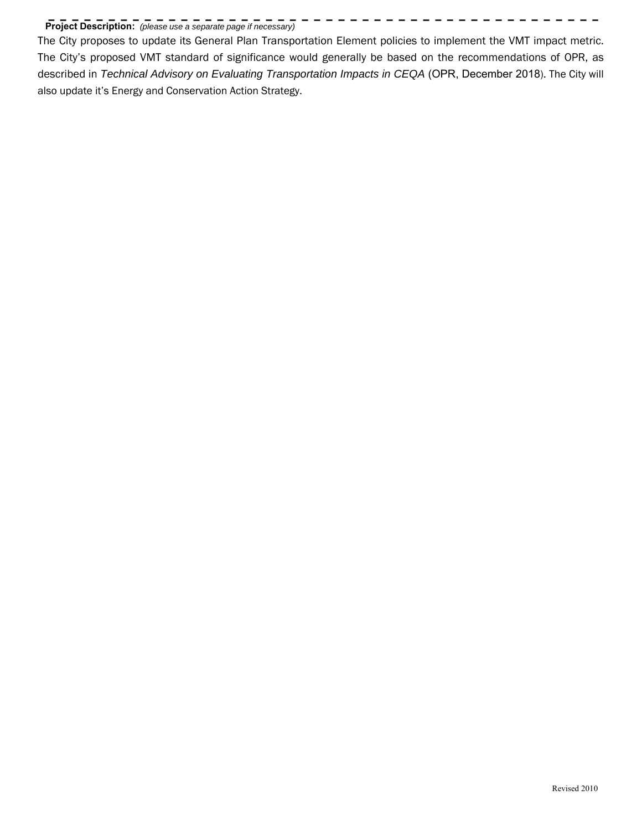## **Project Description:** *(please use a separate page if necessary)*

The City proposes to update its General Plan Transportation Element policies to implement the VMT impact metric. The City's proposed VMT standard of significance would generally be based on the recommendations of OPR, as described in *Technical Advisory on Evaluating Transportation Impacts in CEQA* (OPR, December 2018). The City will also update it's Energy and Conservation Action Strategy.